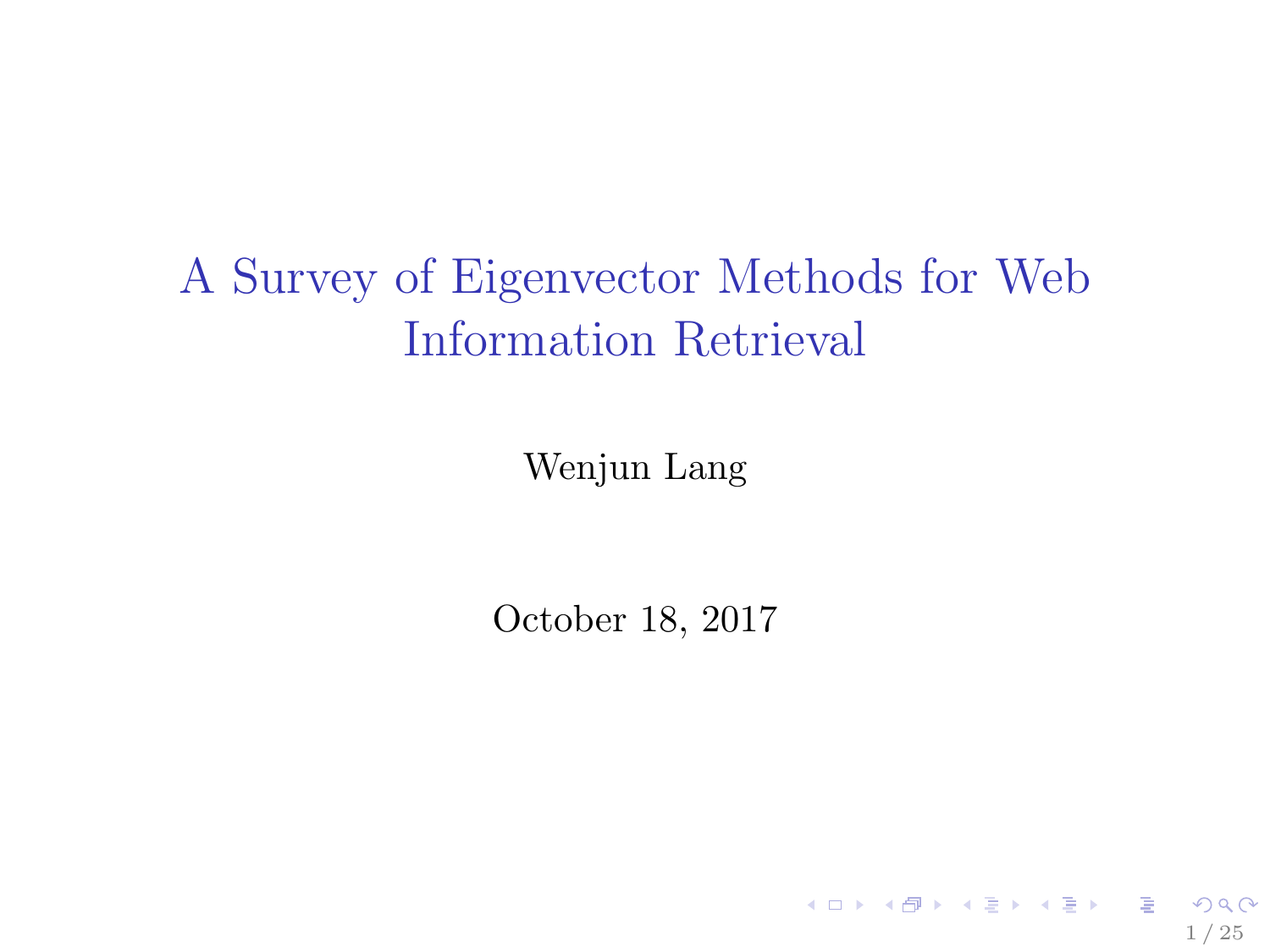# <span id="page-0-0"></span>A Survey of Eigenvector Methods for Web Information Retrieval

Wenjun Lang

October 18, 2017

1 / 25

K ロ ▶ K 레 ▶ K 코 ▶ K 코 ▶ 『코 』 900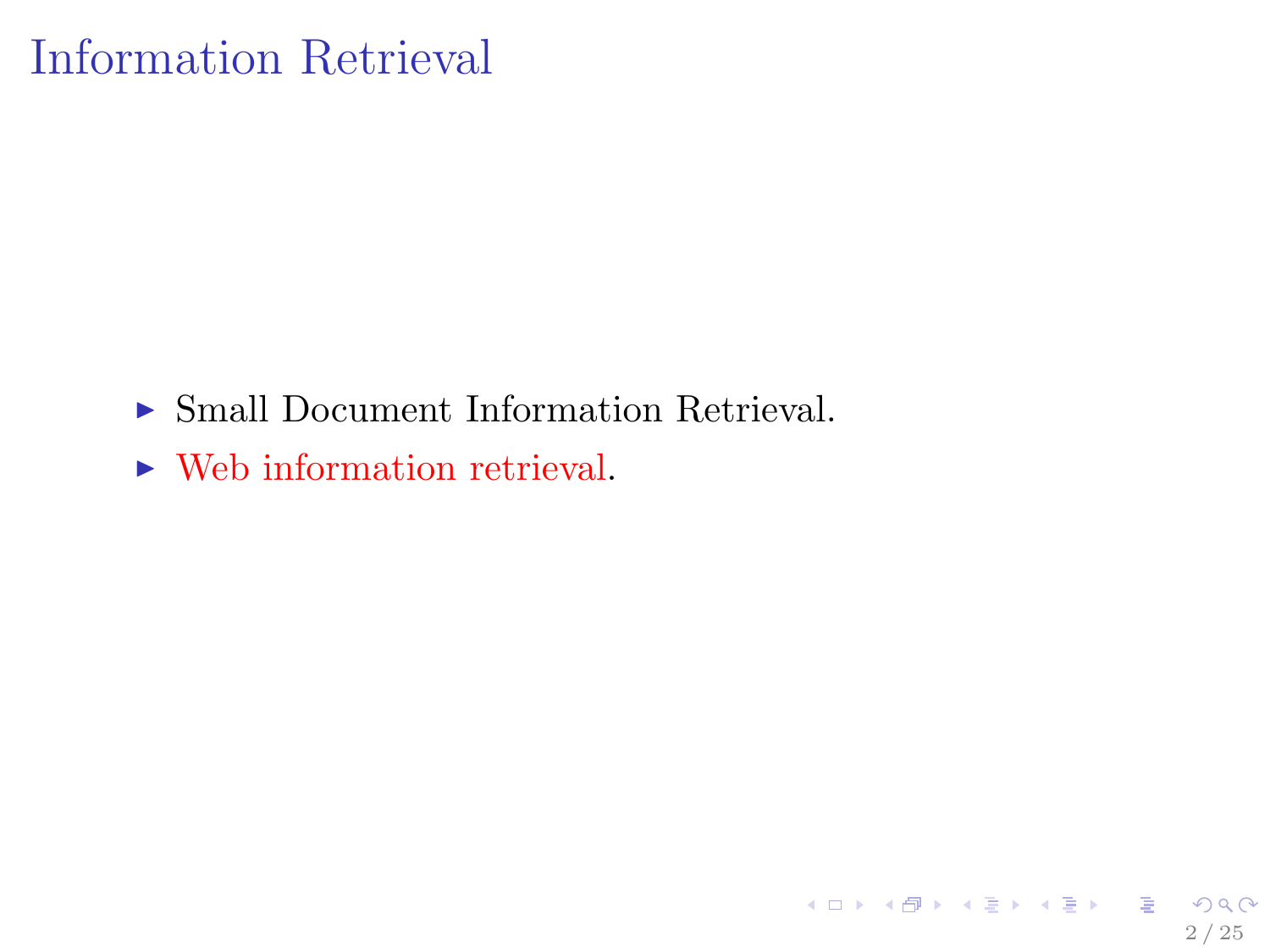## Information Retrieval

 $\triangleright$  Small Document Information Retrieval.

2 / 25

K ロ ▶ K 個 ▶ K 할 ▶ K 할 ▶ 이 할 → 900

 $\triangleright$  Web information retrieval.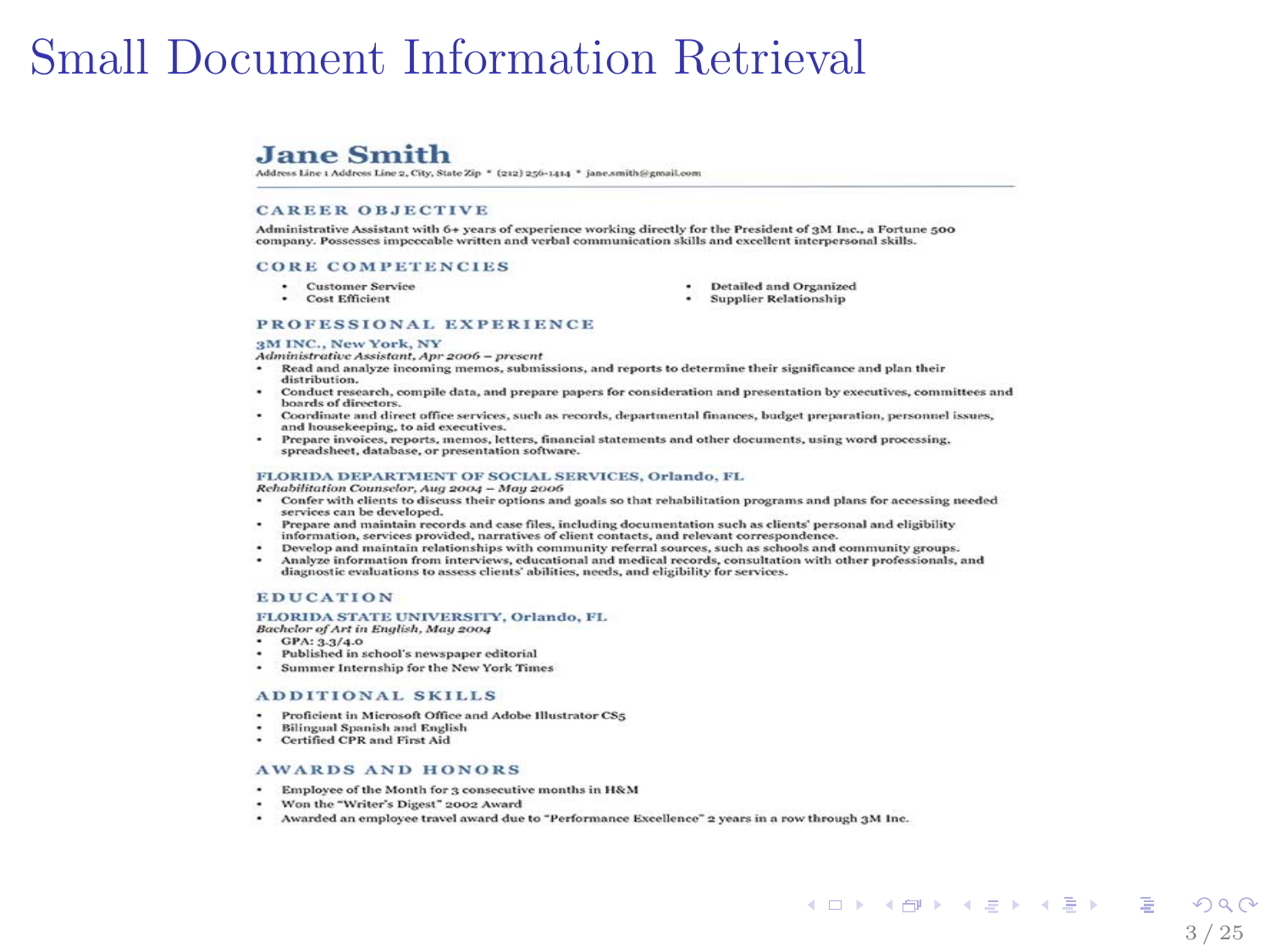## Small Document Information Retrieval

#### **Jane Smith**

Address Line 1 Address Line 2, City, State Zip \* (212) 256-1414 \* jane.smith@gmail.com

#### **CAREER OBJECTIVE**

Administrative Assistant with 6+ years of experience working directly for the President of aM Inc., a Fortune 500 company. Possesses impeccable written and verbal communication skills and excellent interpersonal skills.

#### **CORE COMPETENCIES**

- · Customer Service
- · Cost Efficient
- Detailed and Organized
- · Supplier Relationship

#### PROFESSIONAL EXPERIENCE

#### 3M INC., New York, NY

Administrative Assistant, Apr 2006 - present

- ÷ Read and analyze incoming memos, submissions, and reports to determine their significance and plan their distribution
- Conduct research, compile data, and prepare papers for consideration and presentation by executives, committees and boards of directors.
- Coordinate and direct office services, such as records, departmental finances, budget preparation, personnel issues, and housekeeping, to aid executives.
- Prepare invoices, reports, memos, letters, financial statements and other documents, using word processing, spreadsheet, database, or presentation software.

#### FLORIDA DEPARTMENT OF SOCIAL SERVICES, Orlando, FL

Rehabilitation Counselor, Aug 2004 - May 2006

- Confer with clients to discuss their options and goals so that rehabilitation programs and plans for accessing needed services can be developed.
- . Prepare and maintain records and case files, including documentation such as clients' personal and eligibility information, services provided, narratives of client contacts, and relevant correspondence.
- Develop and maintain relationships with community referral sources, such as schools and community groups.
- Analyze information from interviews, educational and medical records, consultation with other professionals, and ۰. diagnostic evaluations to assess clients' abilities, needs, and eligibility for services.

#### **EDUCATION**

#### FLORIDA STATE UNIVERSITY, Orlando, FL

- Bachelor of Art in English, May 2004
- $-$  GPA: 3.3/4.0
- $\cdot$ Published in school's newspaper editorial
- $\sim$ Summer Internship for the New York Times

#### ADDITIONAL SKILLS

- Proficient in Microsoft Office and Adobe Illustrator CSs.
- **Bilingual Spanish and English**
- · Certified CPR and First Aid

#### **AWARDS AND HONORS**

- Employee of the Month for 3 consecutive months in H&M
- . Won the "Writer's Digest" 2002 Award
- . Awarded an employee travel award due to "Performance Excellence" 2 years in a row through 2M Inc.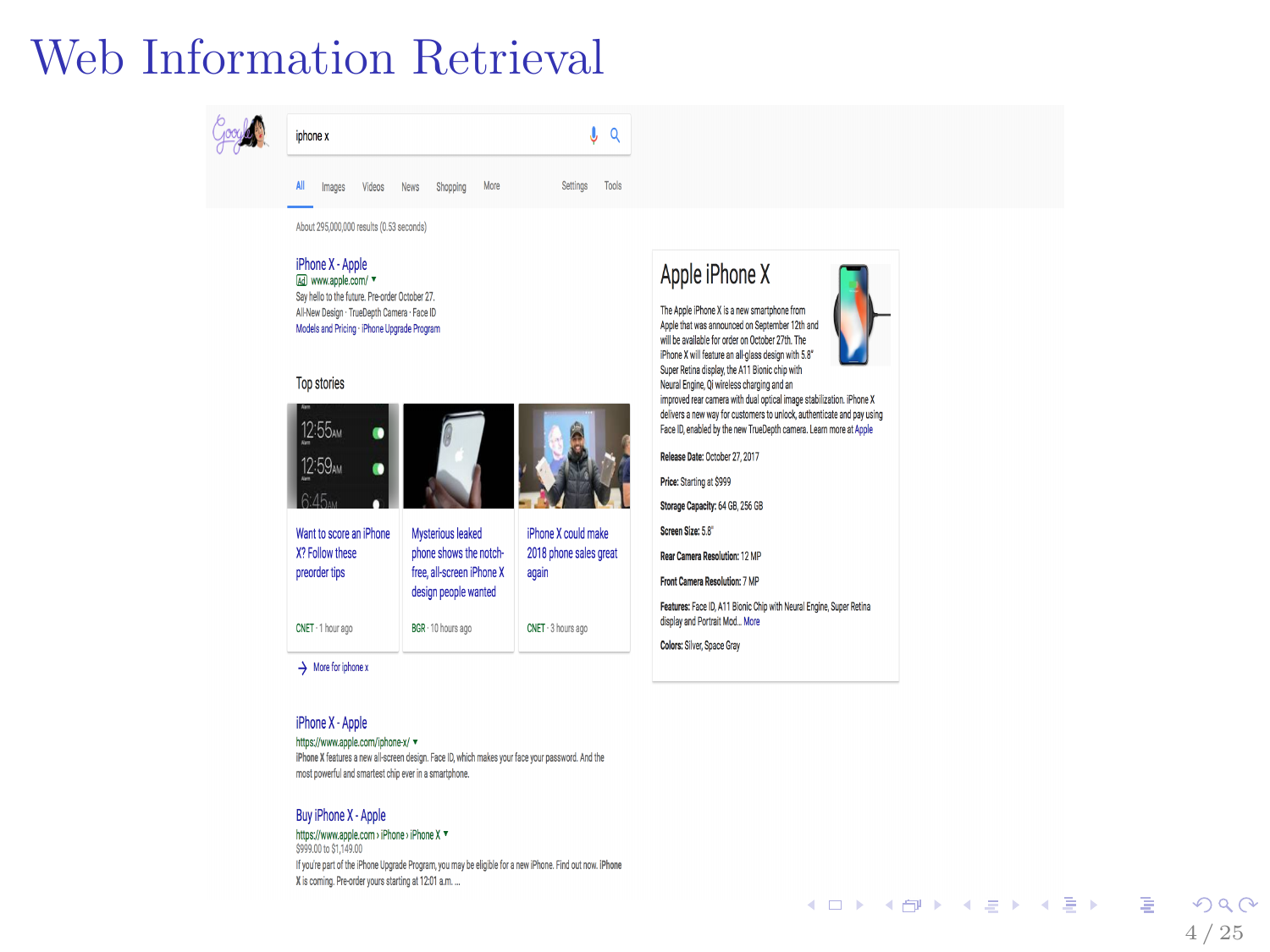## Web Information Retrieval



iPhone X - Apple Ed www.atcle.com/ Say hello to the future. Pre-order October 27. Al-New Design - TrueDepth Camera - Face ID Models and Pricing - Phone Upgrade Program

#### Top stories



 $\rightarrow$  More for iphone x

#### iPhone X - Apple

#### https://www.apple.com/iphone-x/ =

Phone X features a new all-screen design. Face ID, which makes your face your password. And the most powerful and smartest chip ever in a smartphone.

#### Buv iPhone X - Apple

https://www.apple.com > iPhone > iPhone X \* \$999.00 to \$1.149.00

If you're part of the iPhone Upgrade Program, you may be eligible for a new iPhone. Find out now. IPhone X is coming. Pre-order yours starting at 1201 a.m. ...

#### Apple iPhone X

The Accle iPhone X is a new smartphone from Apple that was announced on September 12th and will be available for order on October 27th. The iPhone X will feature an all-glass design with 5.8" Super Retina clisplay, the A11 Blonic chip with

Neural Engine, Oi wireless charging and an improved rear camera with dual cotical image stabilization. iPhone X delivers a new way for customers to unlock, authenticate and pay using Face ID, enabled by the new TrueDeath camera. Learn more at Accle

Release Date: October 27, 2017

Price: Starting at \$599

Storage Capacity: 64 GB, 256 GB

Concord Charles C.C.

Rear Camera Resolution: 12 MP

Front Camera Resolution: 7 MP

Features: Face ID, A11 Bionic Chip with Neural Engine, Super Retina display and Portrait Mod., More

Colors: Silver, Space Gray

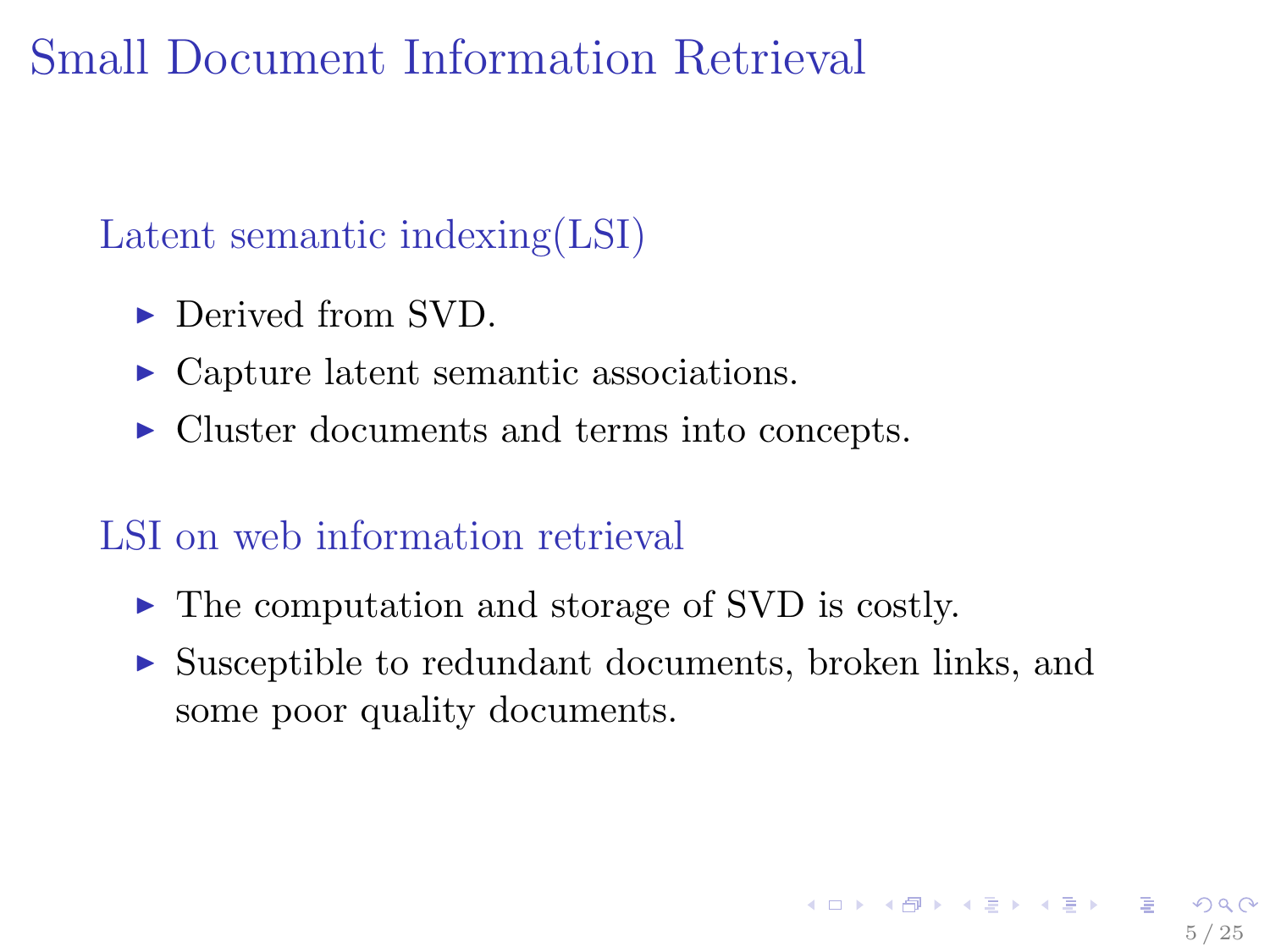## Small Document Information Retrieval

### Latent semantic indexing(LSI)

- $\blacktriangleright$  Derived from SVD.
- Capture latent semantic associations.
- ▶ Cluster documents and terms into concepts.

### LSI on web information retrieval

- $\triangleright$  The computation and storage of SVD is costly.
- $\triangleright$  Susceptible to redundant documents, broken links, and some poor quality documents.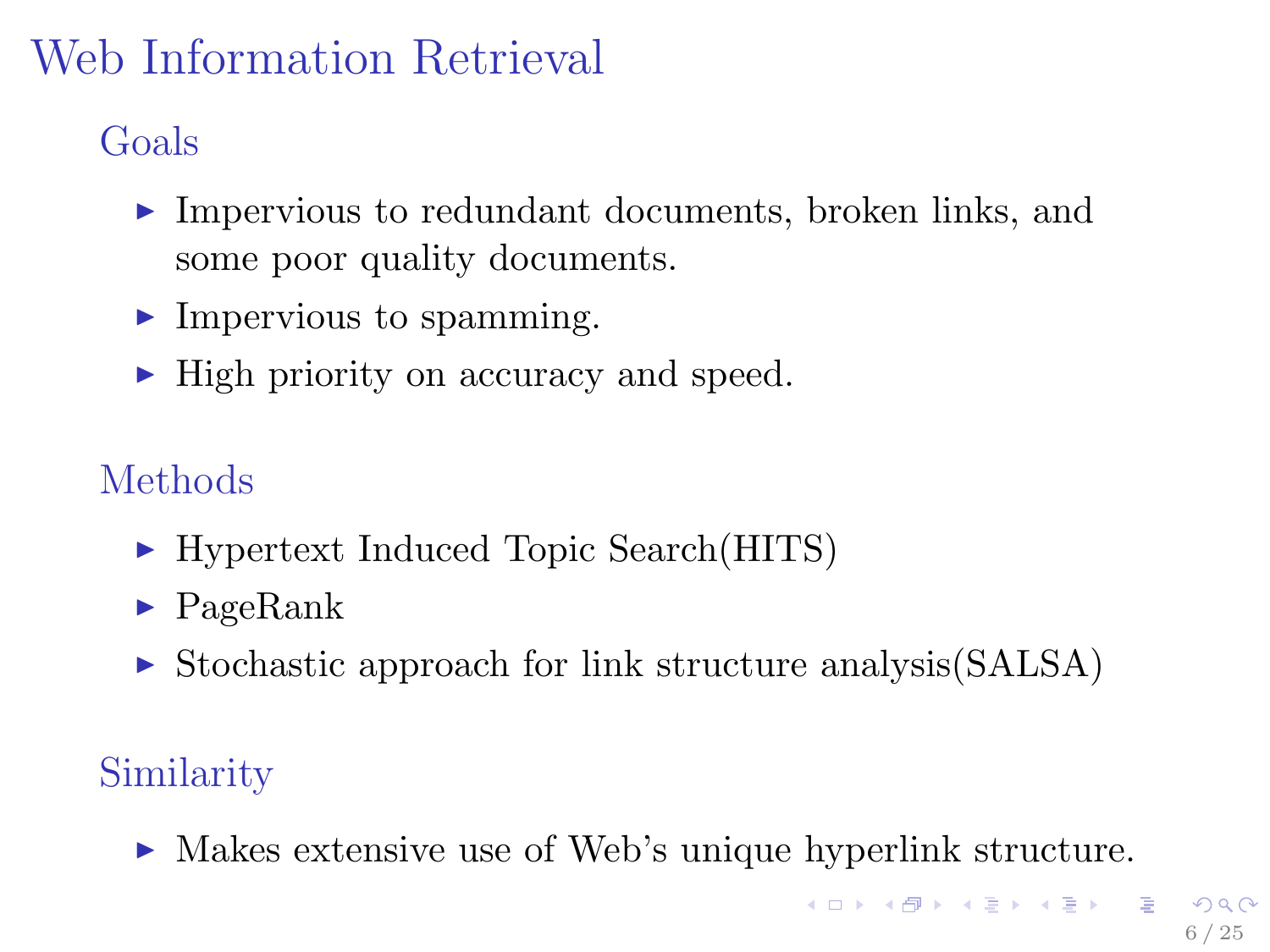# Web Information Retrieval

Goals

- $\blacktriangleright$  Impervious to redundant documents, broken links, and some poor quality documents.
- $\blacktriangleright$  Impervious to spamming.
- If High priority on accuracy and speed.

### Methods

- ► Hypertext Induced Topic Search(HITS)
- $\blacktriangleright$  PageRank
- $\triangleright$  Stochastic approach for link structure analysis (SALSA)

## **Similarity**

► Makes extensive use of Web's unique hyperlink structure.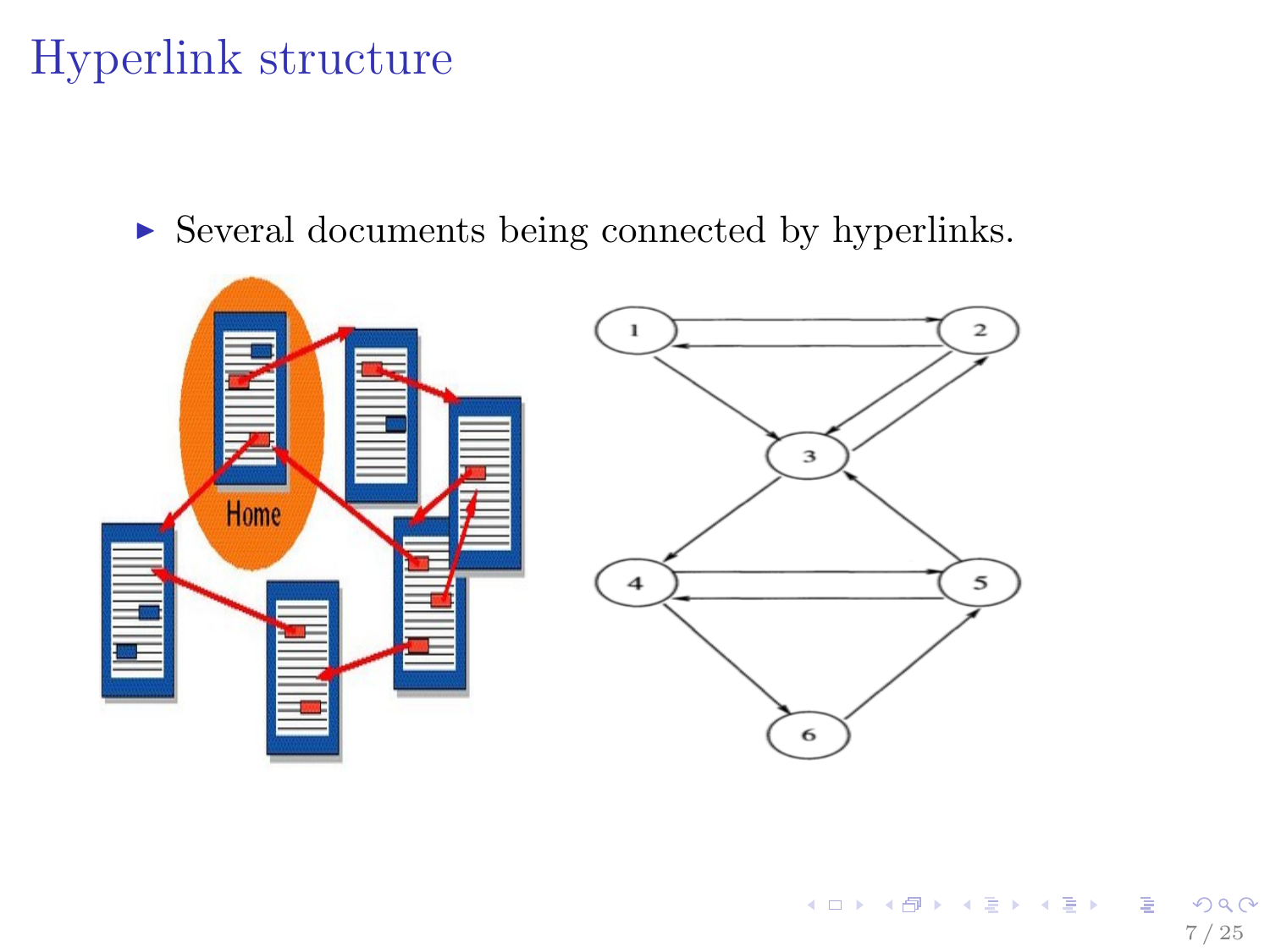## Hyperlink structure

 $\triangleright$  Several documents being connected by hyperlinks.

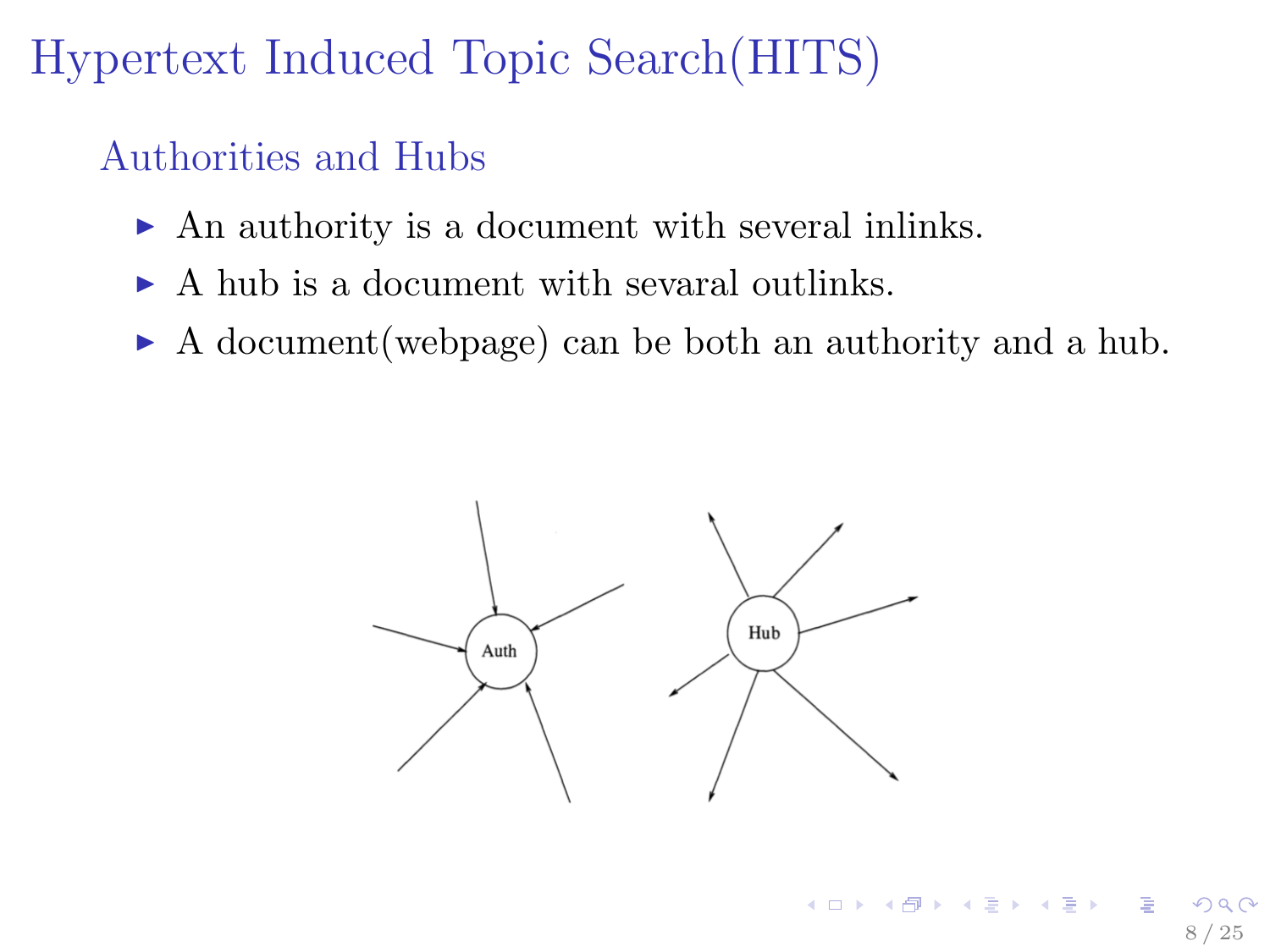## Hypertext Induced Topic Search(HITS)

### Authorities and Hubs

- $\triangleright$  An authority is a document with several inlinks.
- $\triangleright$  A hub is a document with sevaral outlinks.
- <sup>I</sup> A document(webpage) can be both an authority and a hub.

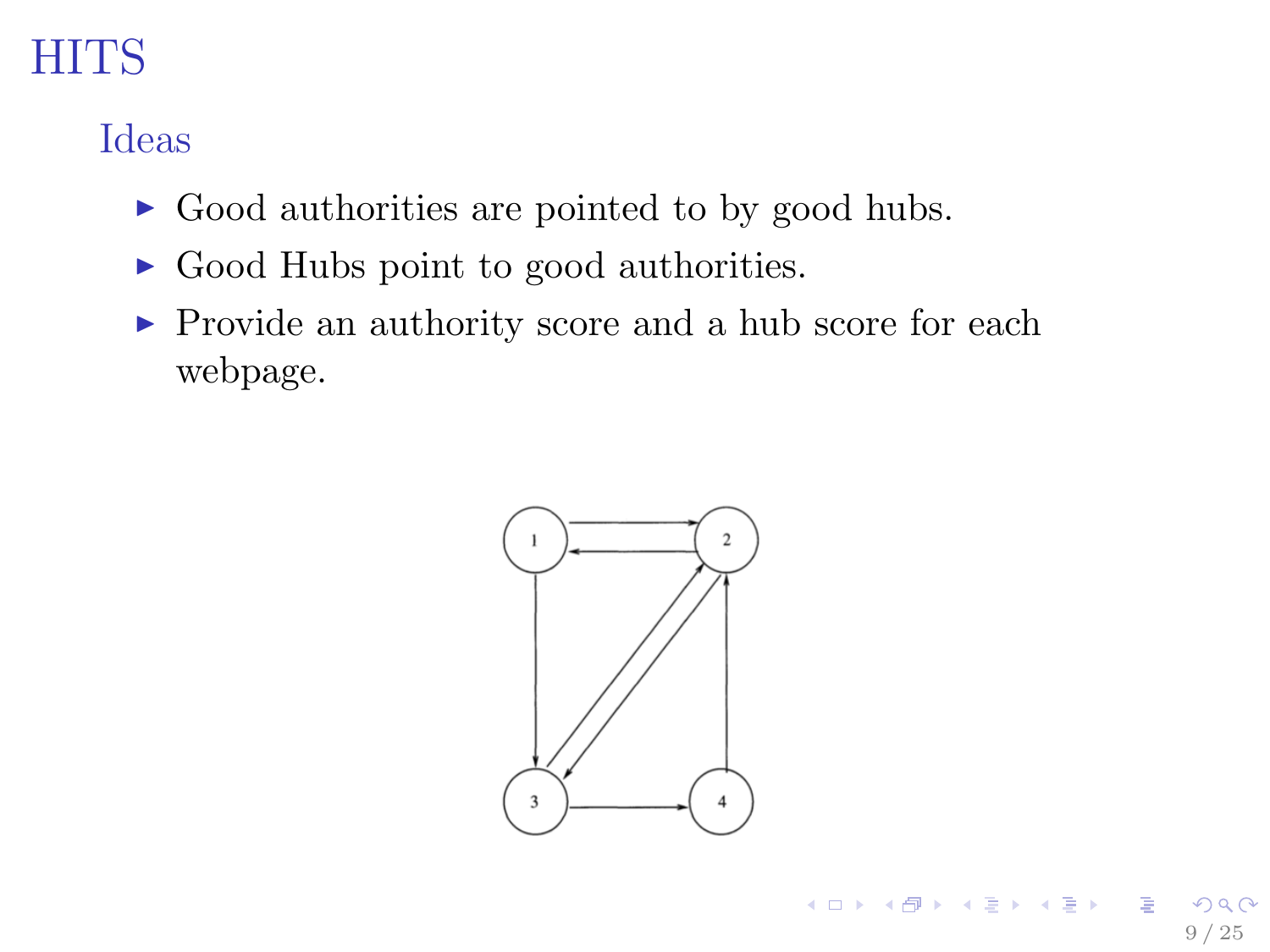Ideas

- $\triangleright$  Good authorities are pointed to by good hubs.
- $\triangleright$  Good Hubs point to good authorities.
- $\blacktriangleright$  Provide an authority score and a hub score for each webpage.

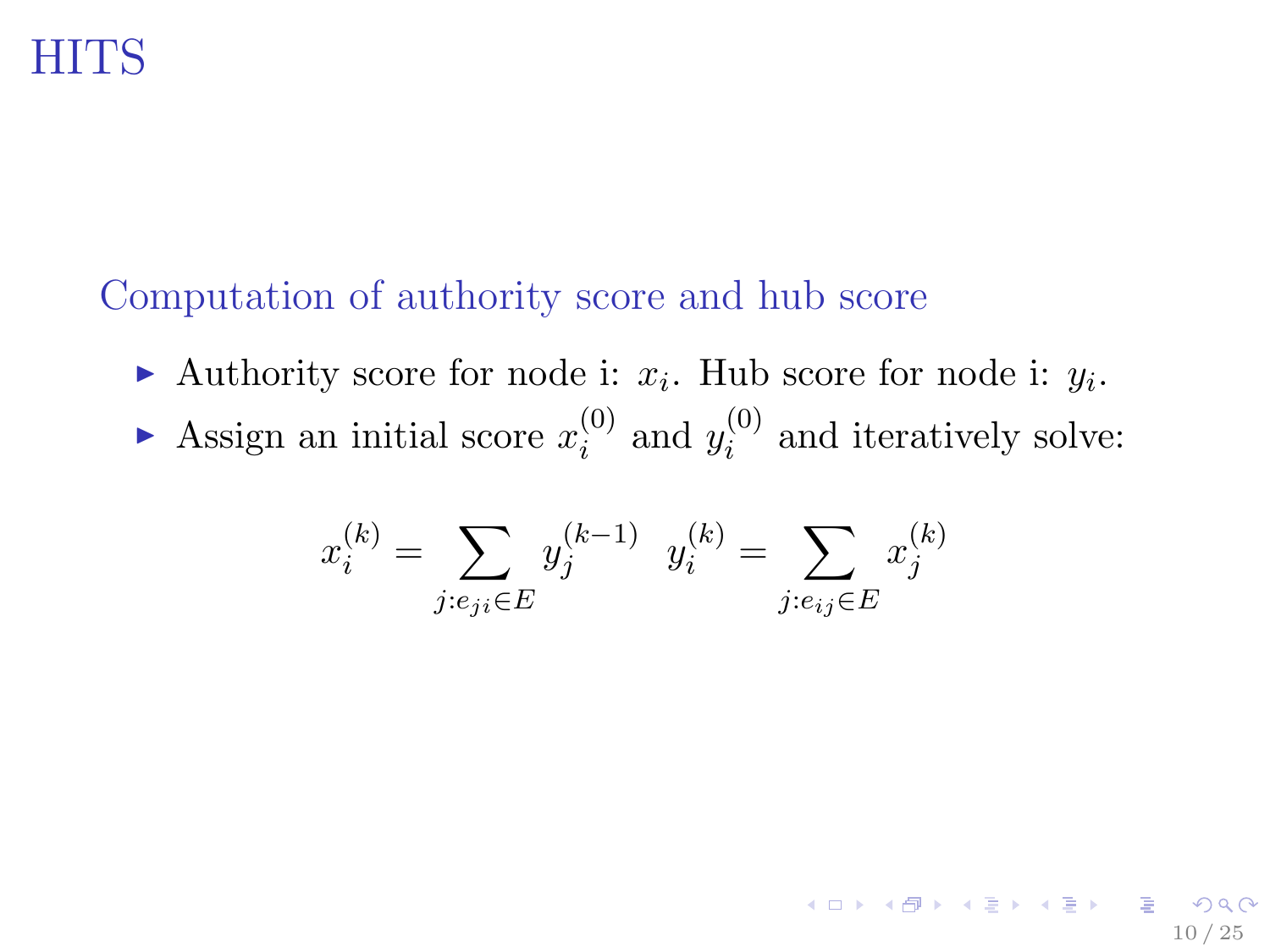### Computation of authority score and hub score

- Authority score for node i:  $x_i$ . Hub score for node i:  $y_i$ .
- Assign an initial score  $x_i^{(0)}$  $i^{(0)}$  and  $y_i^{(0)}$  $i^{(0)}$  and iteratively solve:

$$
x_i^{(k)} = \sum_{j: e_{ji} \in E} y_j^{(k-1)} \quad y_i^{(k)} = \sum_{j: e_{ij} \in E} x_j^{(k)}
$$

10 / 25

K ロ ▶ K 倒 ▶ K 할 ▶ K 할 ▶ ... 할 ...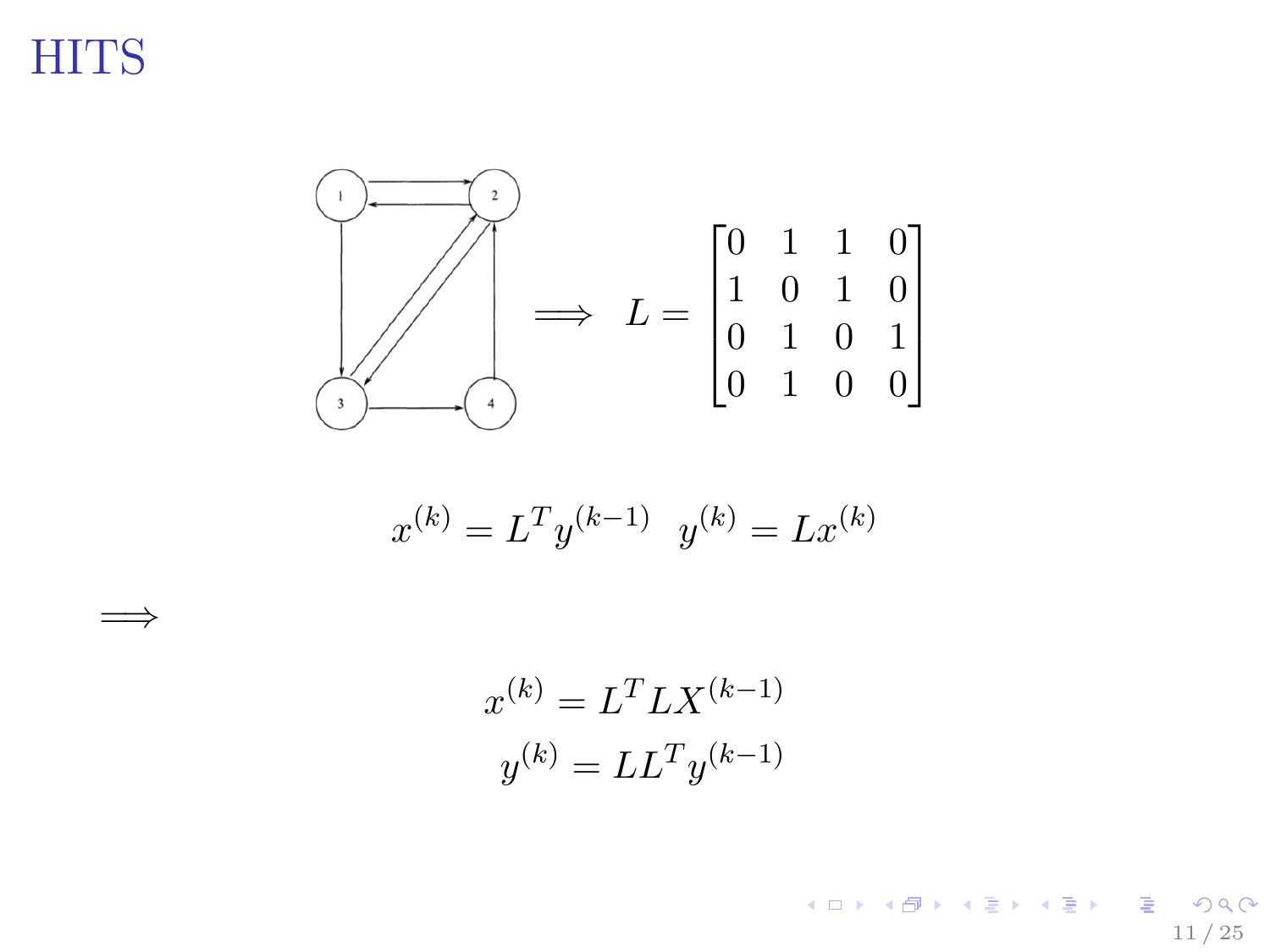=⇒

<span id="page-10-0"></span>

$$
x^{(k)} = L^T y^{(k-1)} \quad y^{(k)} = L x^{(k)}
$$

$$
x^{(k)} = LT L X^{(k-1)}
$$

$$
y^{(k)} = L LT y^{(k-1)}
$$

K ロ ▶ K 御 ▶ K 평 ▶ K 평 ▶ ○ 평 │  $2990$ 11 / 25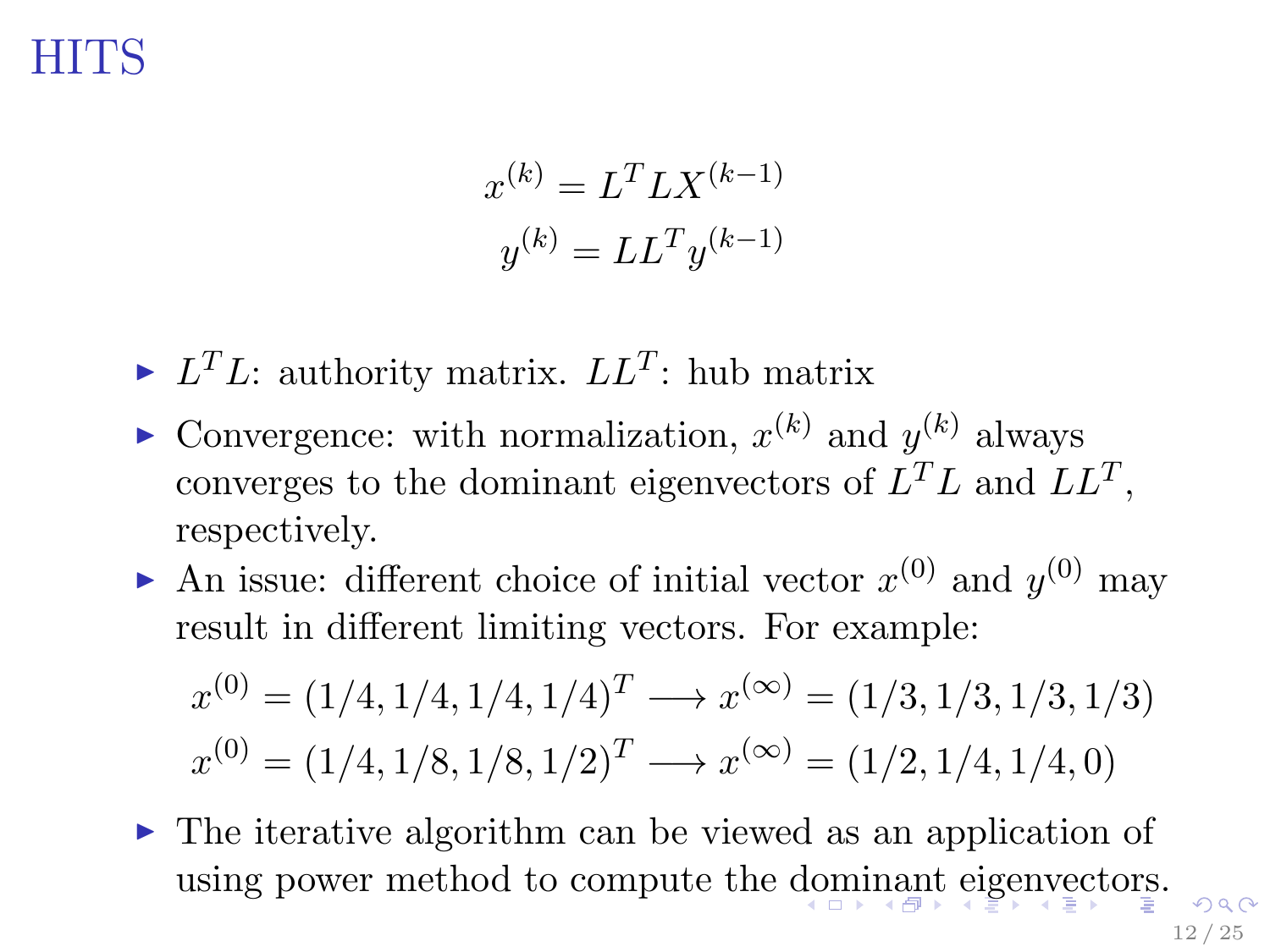$$
x^{(k)} = LT L X^{(k-1)}
$$

$$
y^{(k)} = L LT y^{(k-1)}
$$

- <span id="page-11-0"></span>If  $L^T L$ : authority matrix.  $LL^T$ : hub matrix
- Convergence: with normalization,  $x^{(k)}$  and  $y^{(k)}$  always converges to the dominant eigenvectors of  $L^TL$  and  $LL^T$ , respectively.
- An issue: different choice of initial vector  $x^{(0)}$  and  $y^{(0)}$  may result in different limiting vectors. For example:

$$
x^{(0)} = (1/4, 1/4, 1/4, 1/4)^T \longrightarrow x^{(\infty)} = (1/3, 1/3, 1/3, 1/3)
$$
  

$$
x^{(0)} = (1/4, 1/8, 1/8, 1/2)^T \longrightarrow x^{(\infty)} = (1/2, 1/4, 1/4, 0)
$$

 $\triangleright$  The iterative algorithm can be viewed as an application of using power method to compute the [do](#page-10-0)[mi](#page-12-0)[n](#page-10-0)[an](#page-11-0)[t](#page-12-0) [ei](#page-0-0)[ge](#page-24-0)[nv](#page-0-0)[ect](#page-24-0)[or](#page-0-0)[s.](#page-24-0)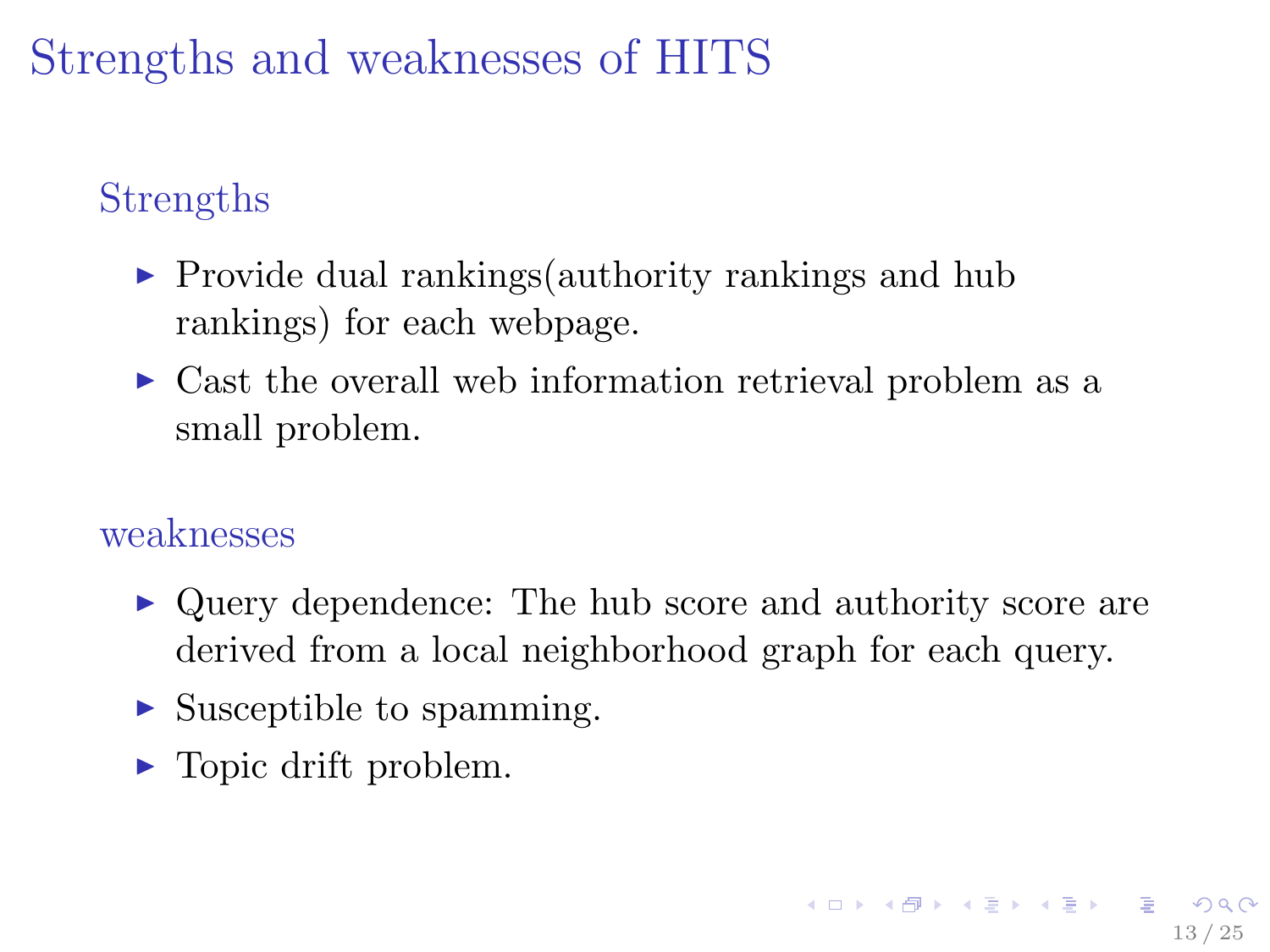## <span id="page-12-0"></span>Strengths and weaknesses of HITS

### Strengths

- $\triangleright$  Provide dual rankings (authority rankings and hub rankings) for each webpage.
- $\triangleright$  Cast the overall web information retrieval problem as a small problem.

#### weaknesses

- $\triangleright$  Query dependence: The hub score and authority score are derived from a local neighborhood graph for each query.
- $\triangleright$  Susceptible to spamming.
- $\blacktriangleright$  Topic drift problem.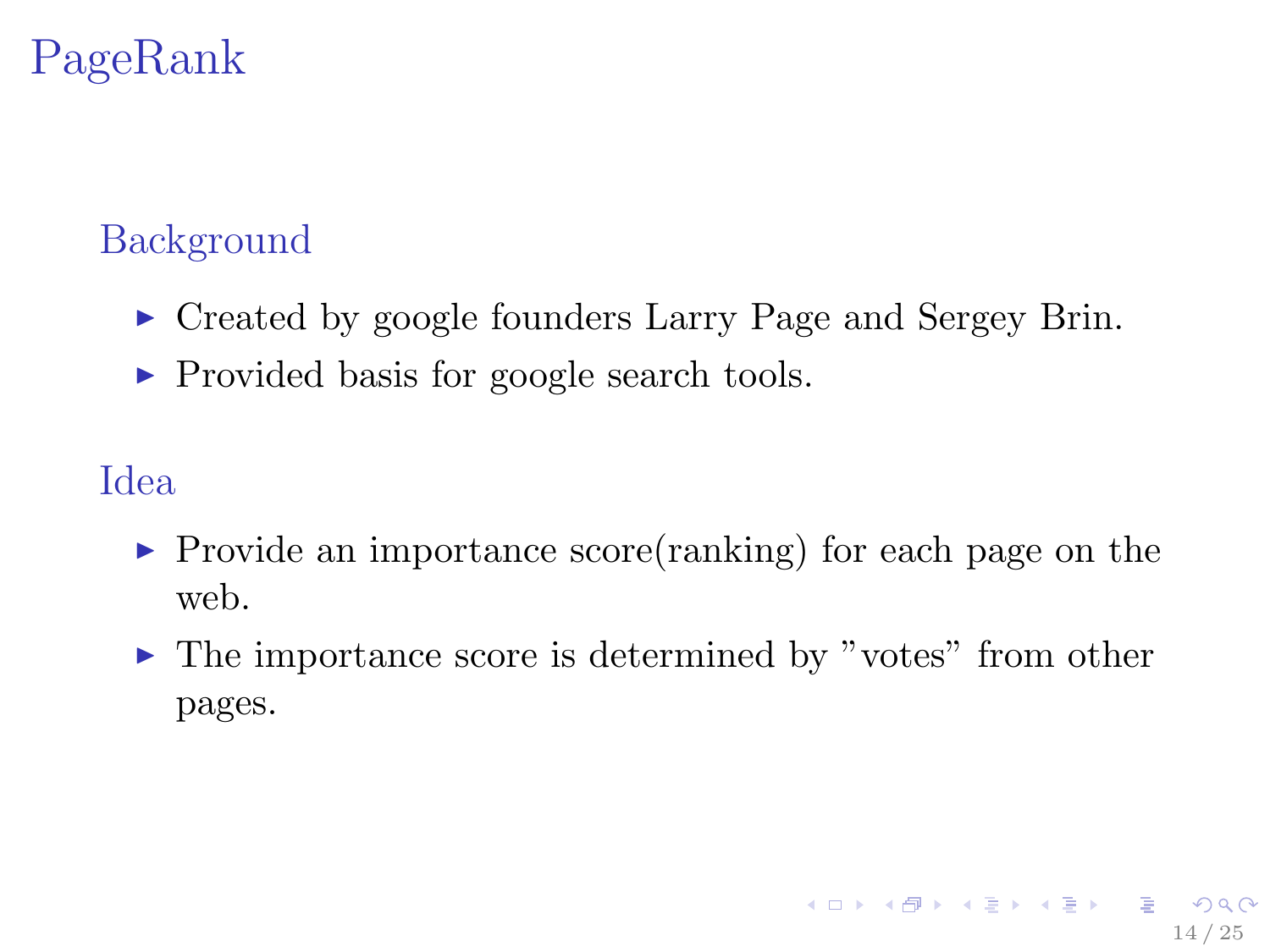### <span id="page-13-0"></span>Background

- ► Created by google founders Larry Page and Sergey Brin.
- ▶ Provided basis for google search tools.

### Idea

- $\triangleright$  Provide an importance score(ranking) for each page on the web.
- ► The importance score is determined by "votes" from other pages.

14 / 25

**KOR KORKADA KORKADA KOR**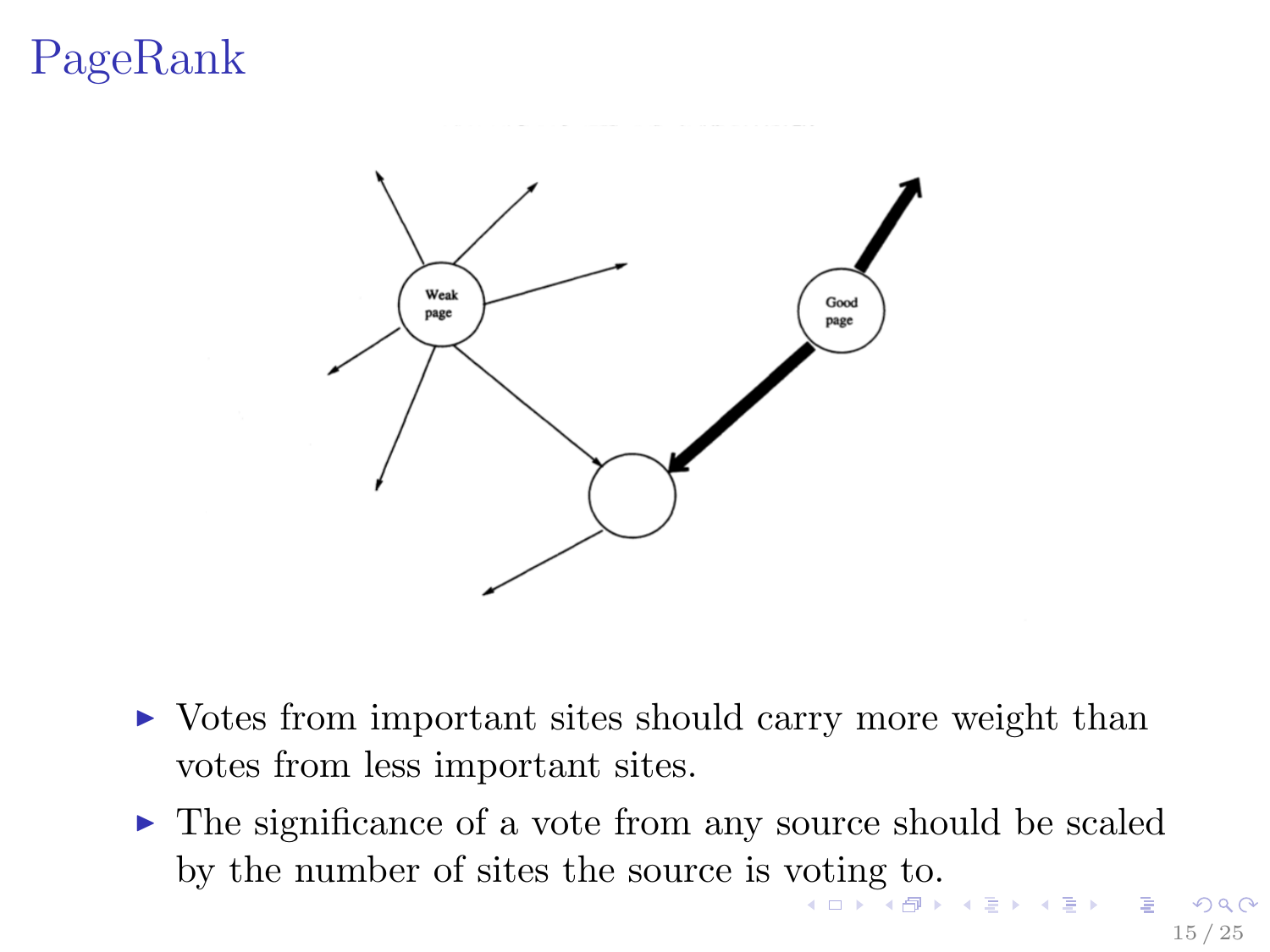<span id="page-14-0"></span>

- $\triangleright$  Votes from important sites should carry more weight than votes from less important sites.
- $\triangleright$  The significance of a vote from any source should be scaled by the number of sites the source is [vot](#page-13-0)i[n](#page-15-0)[g](#page-13-0) [to](#page-14-0)[.](#page-15-0)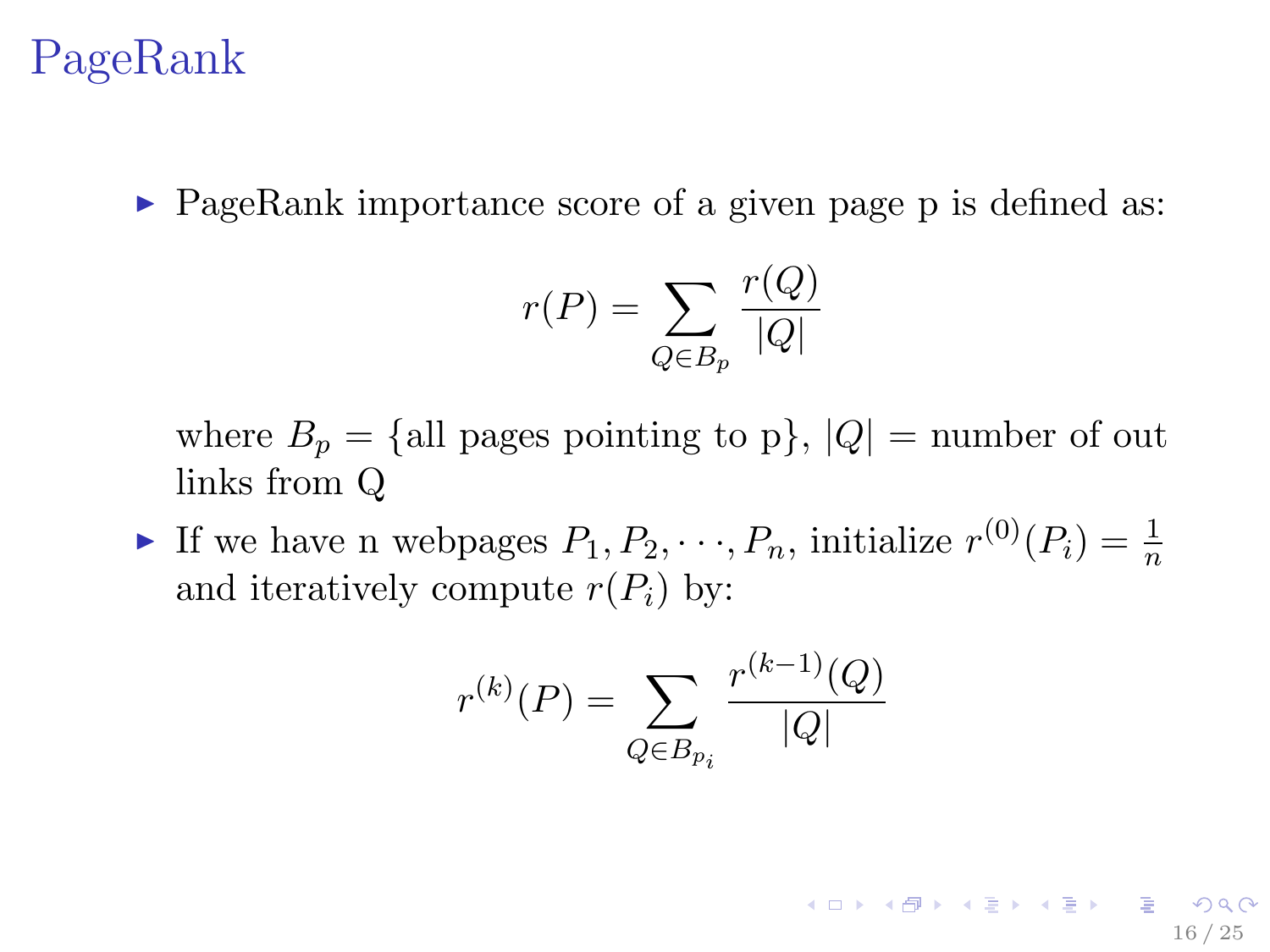<span id="page-15-0"></span> $\triangleright$  PageRank importance score of a given page p is defined as:

$$
r(P) = \sum_{Q \in B_p} \frac{r(Q)}{|Q|}
$$

where  $B_p = \{$ all pages pointing to p $\}, |Q| =$  number of out links from Q

If we have n webpages  $P_1, P_2, \dots, P_n$ , initialize  $r^{(0)}(P_i) = \frac{1}{n}$ and iteratively compute  $r(P_i)$  by:

$$
r^{(k)}(P) = \sum_{Q \in B_{p_i}} \frac{r^{(k-1)}(Q)}{|Q|}
$$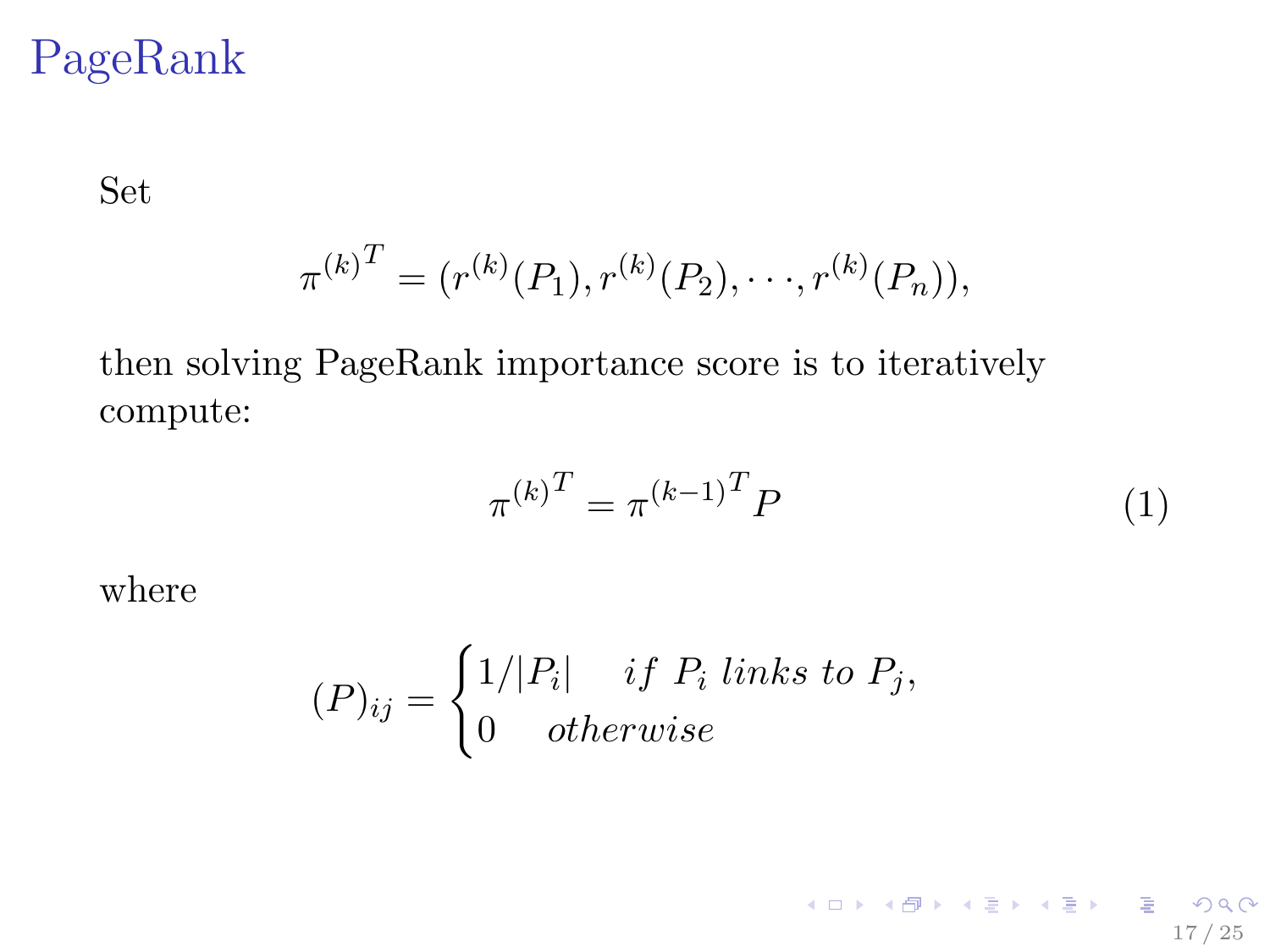Set

$$
\pi^{(k)}^{T} = (r^{(k)}(P_1), r^{(k)}(P_2), \cdots, r^{(k)}(P_n)),
$$

then solving PageRank importance score is to iteratively compute:

$$
\pi^{(k)}^T = \pi^{(k-1)}^T P \tag{1}
$$

17 / 25

K ロ K イ団 K K モ X K モ X モ コ モ ー イワ Q Q Q

where

$$
(P)_{ij} = \begin{cases} 1/|P_i| & if P_i \text{ links to } P_j, \\ 0 & otherwise \end{cases}
$$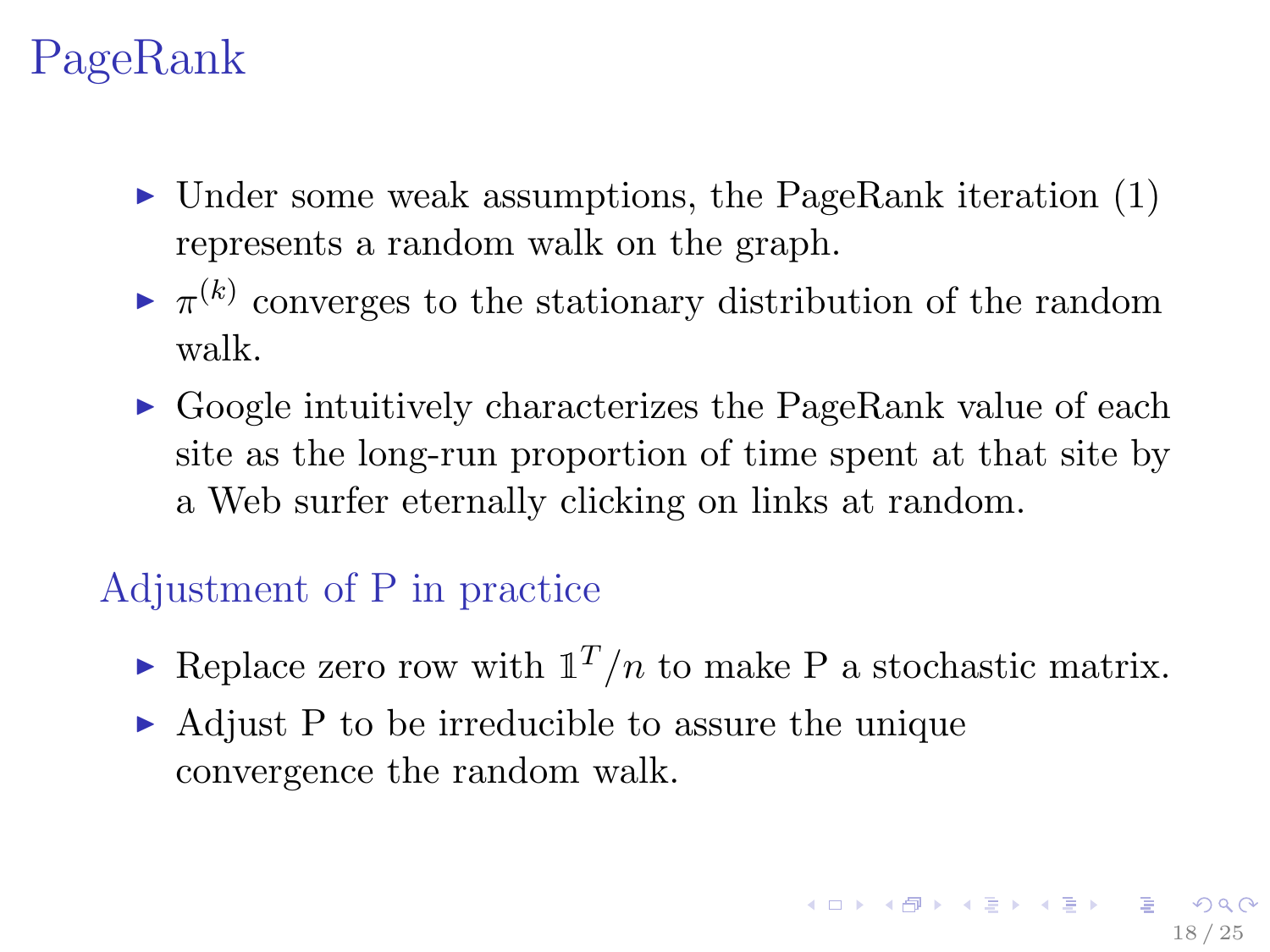- $\triangleright$  Under some weak assumptions, the PageRank iteration (1) represents a random walk on the graph.
- $\blacktriangleright \pi^{(k)}$  converges to the stationary distribution of the random walk.
- $\triangleright$  Google intuitively characterizes the PageRank value of each site as the long-run proportion of time spent at that site by a Web surfer eternally clicking on links at random.

### Adjustment of P in practice

- Replace zero row with  $\mathbb{1}^T/n$  to make P a stochastic matrix.
- $\triangleright$  Adjust P to be irreducible to assure the unique convergence the random walk.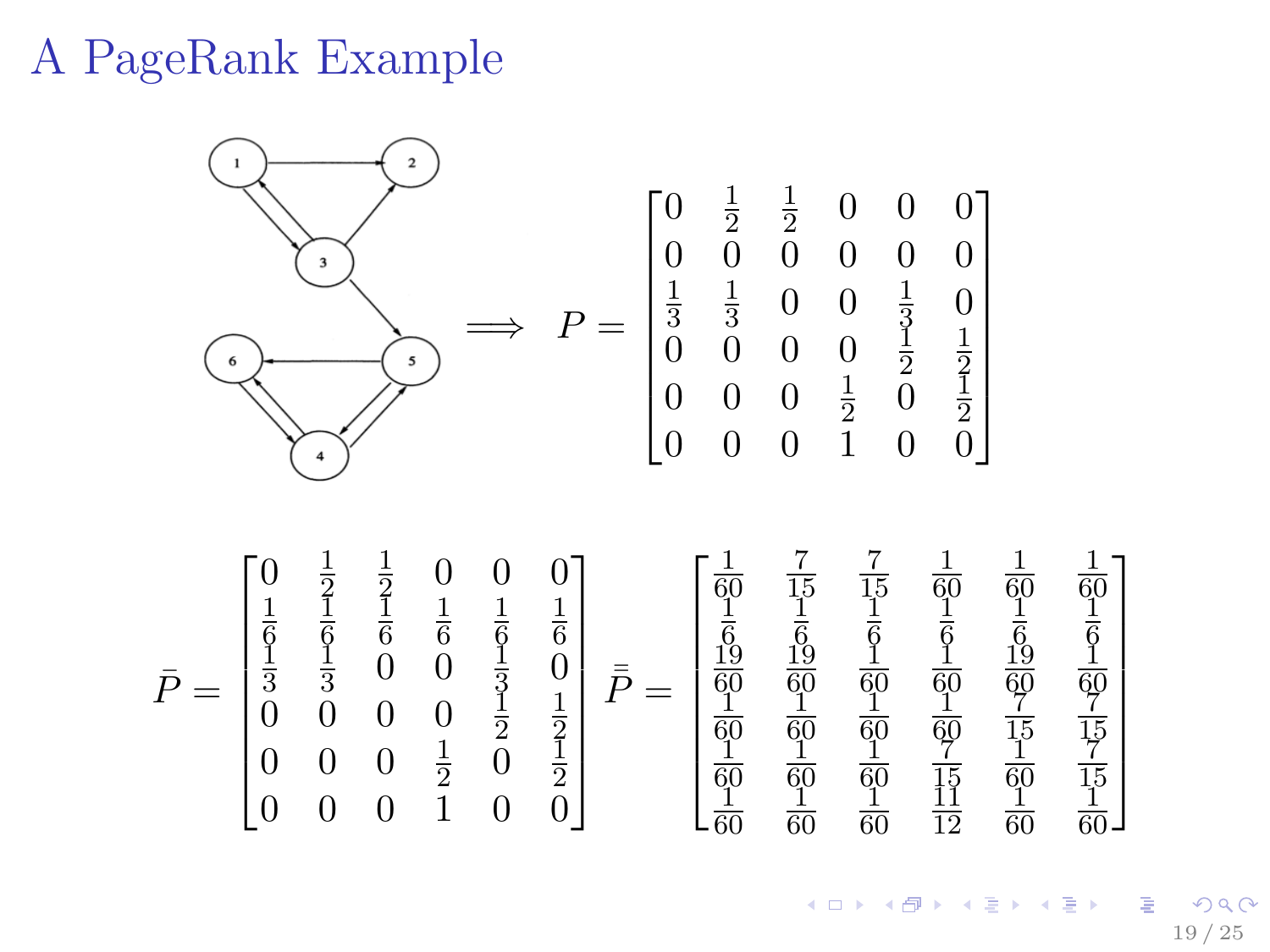## A PageRank Example

 $\overline{a}$  $0 \frac{1}{2}$   $\sqrt{ }$  $rac{1}{2}$  0 0 0 0 0 0 0 0 0  $\overline{\phantom{a}}$   $\frac{1}{3}$  0 0  $\frac{1}{3}$  0  $\implies P =$   $0 \t 0 \t 0 \t \frac{1}{2}$   $\mathbf{5}$  $0 \t 0 \t 0 \t 1 \t 2 \t 1$  $\begin{smallmatrix}0 & 0 & 0 & 0 & 2 & 0 & 2\\0 & 0 & 0 & 1 & 0 & 0\end{smallmatrix}$  $0 \frac{1}{2}$   $\frac{1}{2}$  0 0 0  $\sqrt{ }$  $\sqrt{ }$  

 $\bar{P} =$   $\begin{matrix} 6 & 6 & 6 & 6 & 6 \\ 1 & 1 & 0 & 0 & 1 \\ 0 & 0 & 0 & 0 & 0 \end{matrix}$   $\frac{1}{3}$  0 0  $\frac{1}{3}$  0  $\begin{matrix} 0 & 0 & 0 & 0 & \frac{1}{2} \end{matrix}$   $0 \t 0 \t 0 \t 0 \t 1$ <br>  $0 \t 0 \t 1$ <br>  $\frac{1}{2}$ <br>  $0 \t 1$  $\begin{smallmatrix}0&0&0&\frac{1}{2}&0&\frac{1}{2}\0&0&0&1&0&0\end{smallmatrix}$  $\begin{array}{c|c} \hline \quad \quad & \quad \quad & \quad \quad \\ \hline \quad \quad & \quad \quad & \quad \quad \\ \hline \quad \quad & \quad \quad & \quad \quad \\ \hline \quad \quad & \quad \quad & \quad \quad \\ \hline \end{array}$  $\bar{\bar{P}} =$  60 15 15 60 60 60<br>1 1 1 1 1 1  $\frac{6}{19}$   $\frac{6}{19}$   $\frac{6}{1}$   $\frac{6}{1}$   $\frac{6}{19}$   $\frac{6}{1}$  <u>19</u> <u>19</u>  $\frac{60}{1}$   $\frac{60}{1}$   $\frac{60}{1}$   $\frac{60}{1}$   $\frac{60}{7}$   $\frac{60}{7}$   $\frac{50}{1}$   $\frac{60}{1}$   $\frac{60}{1}$   $\frac{60}{7}$   $\frac{15}{1}$   $\frac{15}{7}$   $\hat{1}$   $\begin{matrix} 50 & 60 & 60 & 15 & 60 & 15 \\ 1 & 1 & 1 & 11 & 1 & 1 \end{matrix}$   $\begin{array}{c|c} \hline \quad \quad & \quad \quad & \quad \quad \\ \hline \quad \quad & \quad \quad & \quad \quad \\ \hline \quad \quad & \quad \quad & \quad \quad \\ \hline \quad \quad & \quad \quad & \quad \quad \\ \hline \end{array}$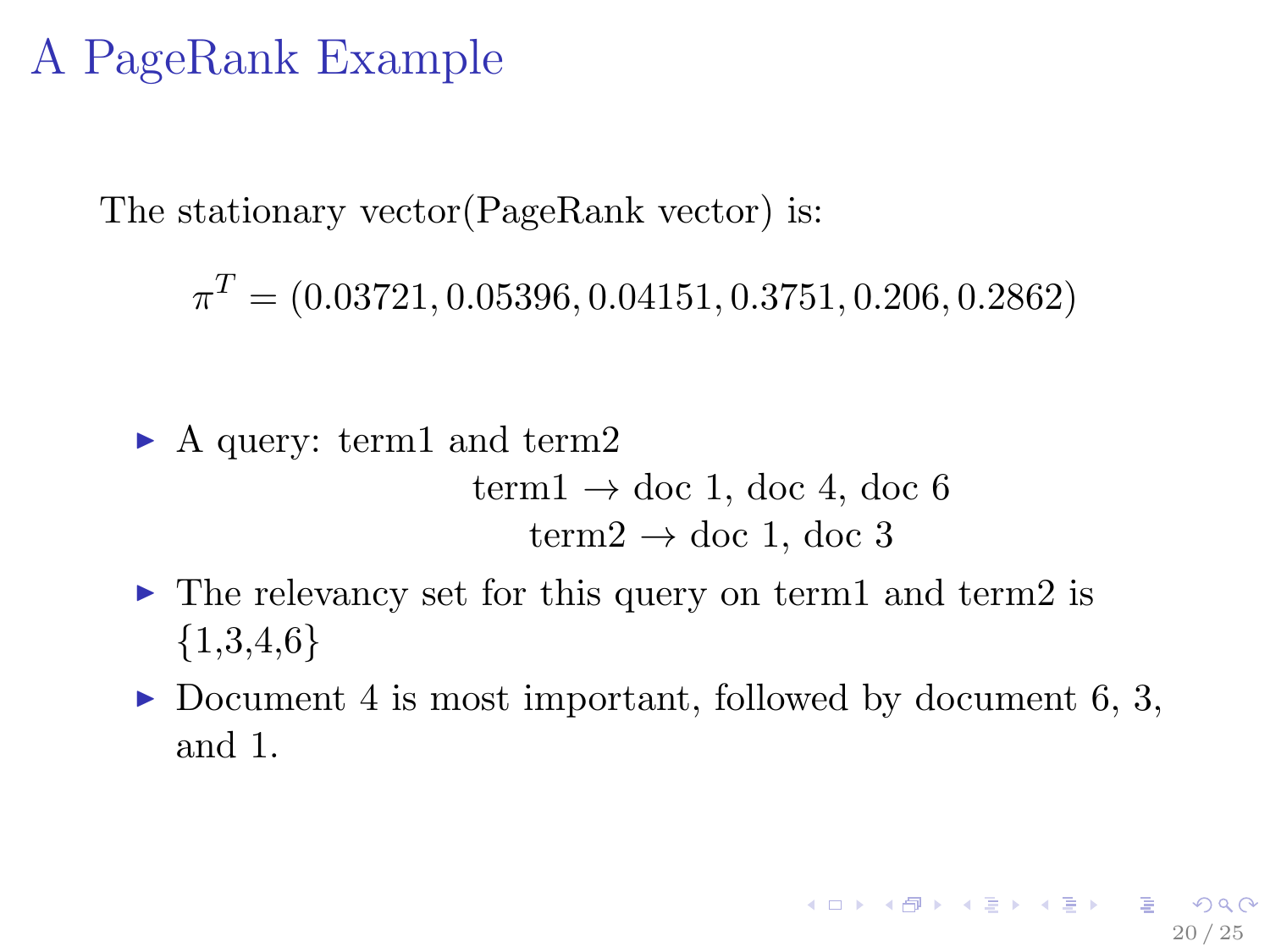## A PageRank Example

The stationary vector(PageRank vector) is:

 $\pi^T=(0.03721, 0.05396, 0.04151, 0.3751, 0.206, 0.2862)$ 

• A query: term1 and term2  
\n
$$
term1 \rightarrow doc 1, doc 4, doc 6
$$
\n
$$
term2 \rightarrow doc 1, doc 3
$$

- $\triangleright$  The relevancy set for this query on term1 and term2 is  ${1,3,4,6}$
- Document 4 is most important, followed by document 6, 3, and 1.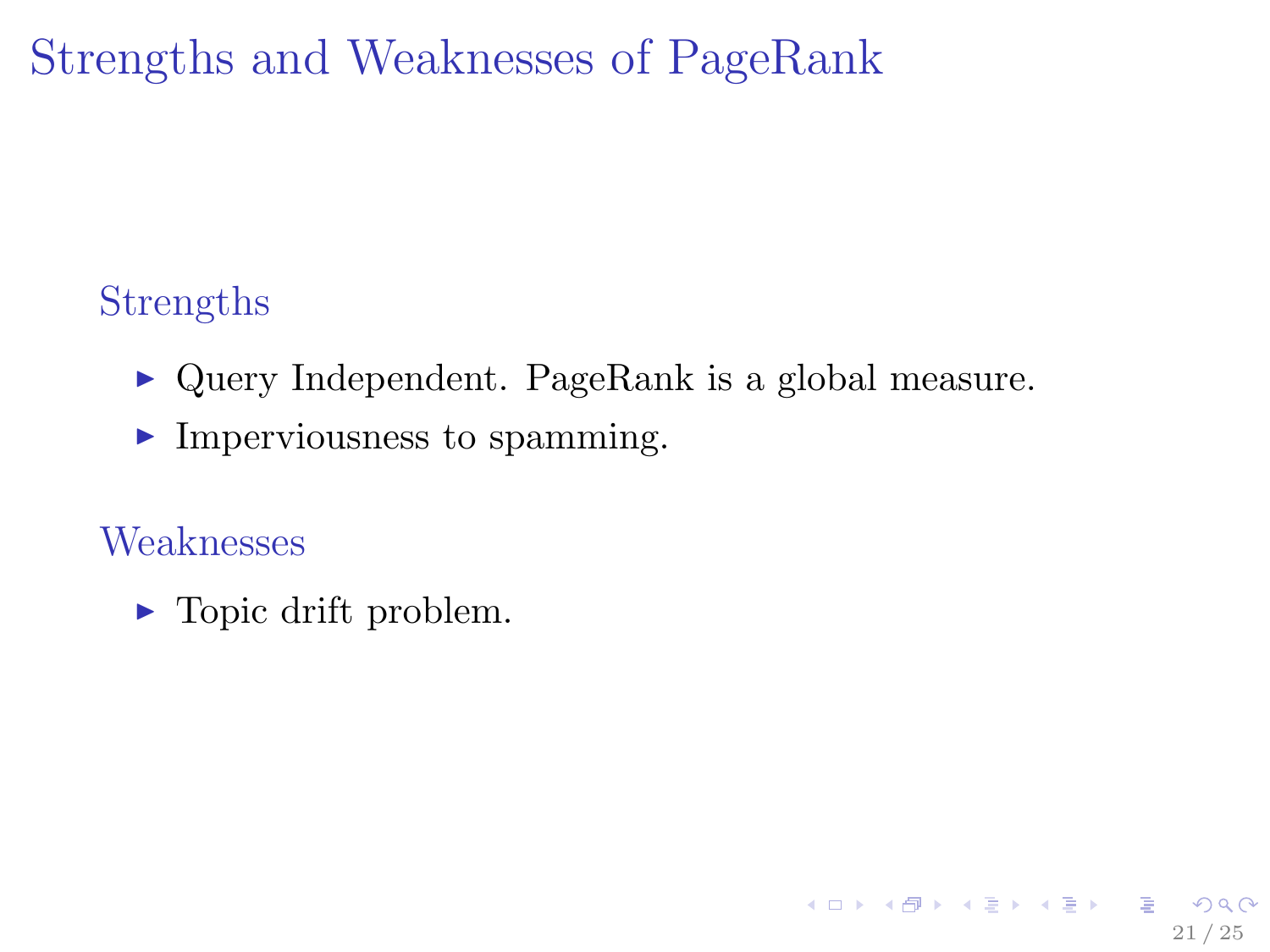Strengths and Weaknesses of PageRank

## Strengths

 $\triangleright$  Query Independent. PageRank is a global measure.

21 / 25

K ロ ▶ K 레 ▶ K 코 ▶ K 코 ▶ 『코 』 900

 $\blacktriangleright$  Imperviousness to spamming.

### Weaknesses

 $\blacktriangleright$  Topic drift problem.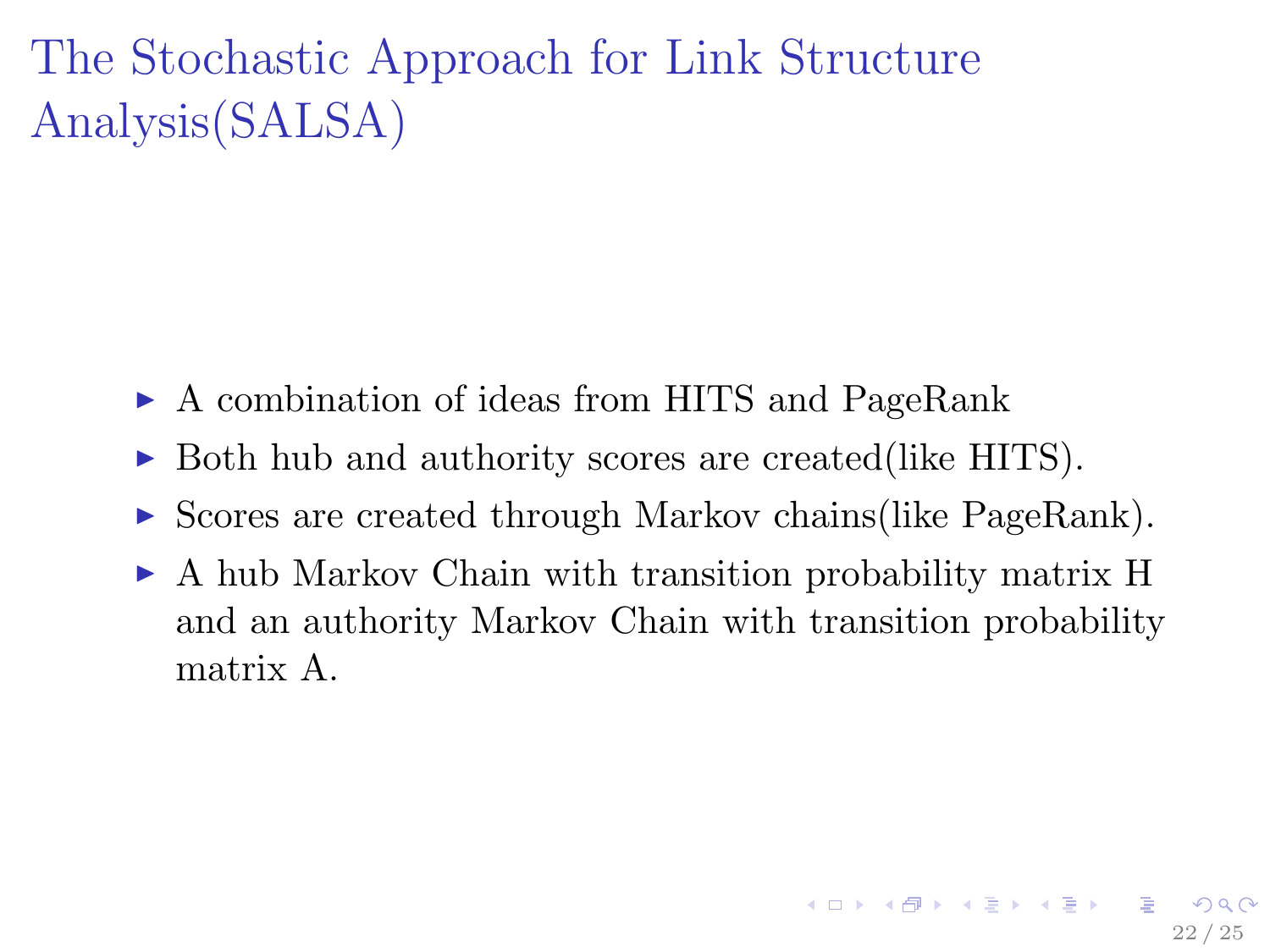The Stochastic Approach for Link Structure Analysis(SALSA)

- ► A combination of ideas from HITS and PageRank
- $\triangleright$  Both hub and authority scores are created(like HITS).
- $\triangleright$  Scores are created through Markov chains(like PageRank).
- $\triangleright$  A hub Markov Chain with transition probability matrix H and an authority Markov Chain with transition probability matrix A.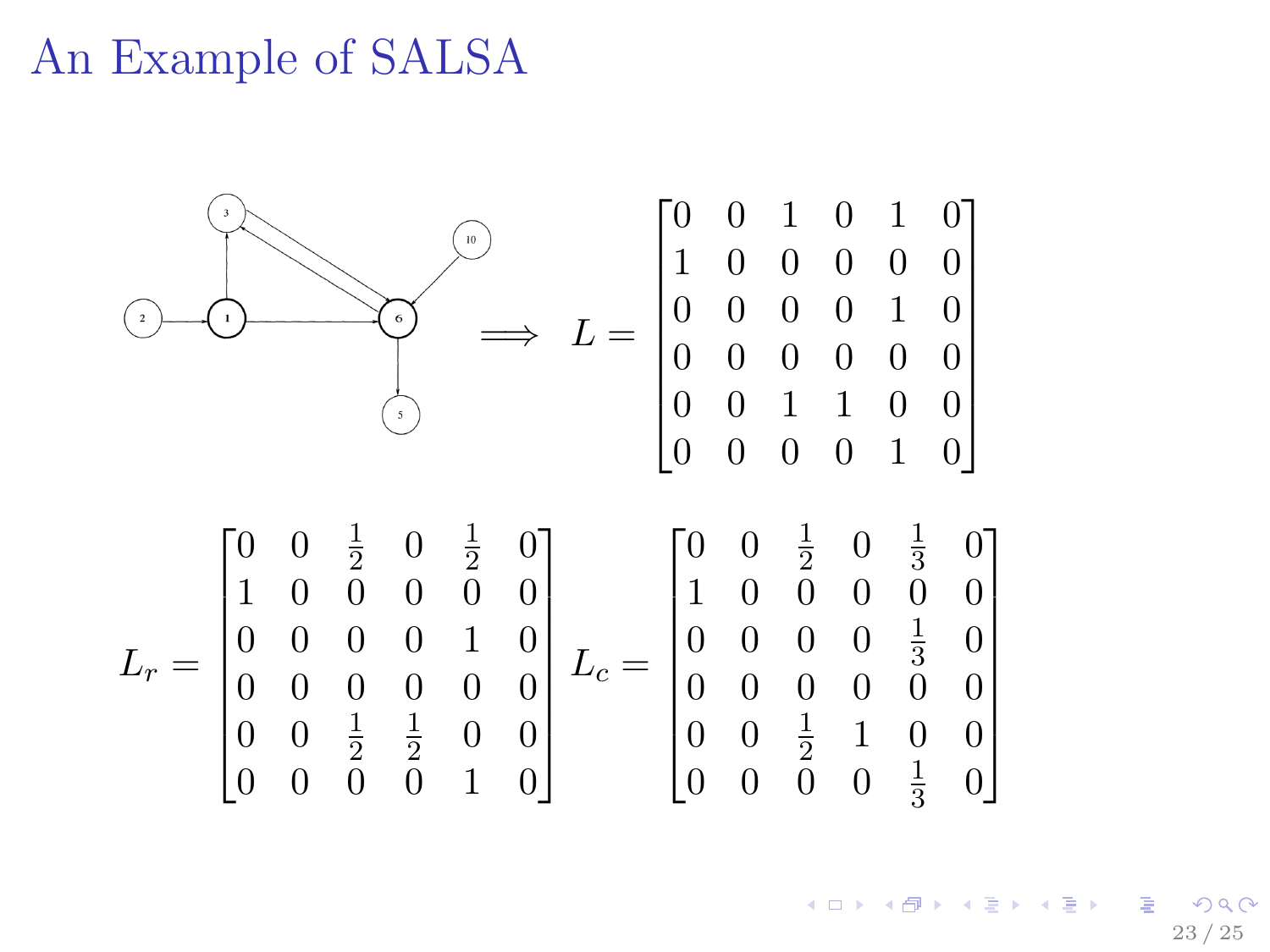## An Example of SALSA

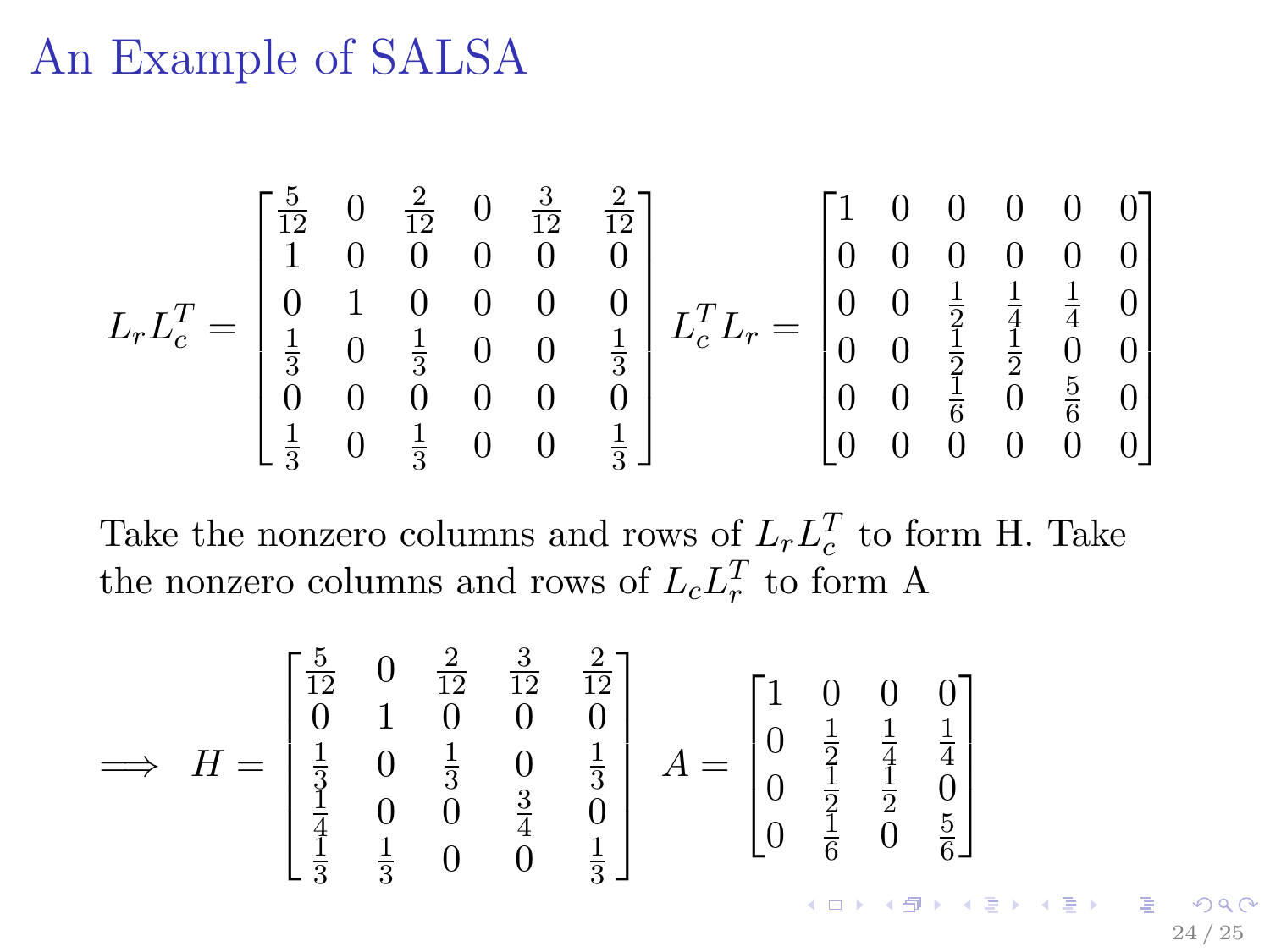## An Example of SALSA

$$
L_r L_c^T = \begin{bmatrix} \frac{5}{12} & 0 & \frac{2}{12} & 0 & \frac{3}{12} & \frac{2}{12} \\ 1 & 0 & 0 & 0 & 0 & 0 \\ 0 & 1 & 0 & 0 & 0 & 0 \\ \frac{1}{3} & 0 & \frac{1}{3} & 0 & 0 & \frac{1}{3} \\ 0 & 0 & 0 & 0 & 0 & 0 \\ \frac{1}{3} & 0 & \frac{1}{3} & 0 & 0 & \frac{1}{3} \end{bmatrix} L_c^T L_r = \begin{bmatrix} 1 & 0 & 0 & 0 & 0 & 0 \\ 0 & 0 & 0 & 0 & 0 & 0 \\ 0 & 0 & \frac{1}{2} & \frac{1}{4} & \frac{1}{4} & 0 \\ 0 & 0 & \frac{1}{2} & \frac{1}{2} & 0 & 0 \\ 0 & 0 & \frac{1}{6} & 0 & \frac{5}{6} & 0 \\ 0 & 0 & 0 & 0 & 0 & 0 \end{bmatrix}
$$

Take the nonzero columns and rows of  $L_r L_c^T$  to form H. Take the nonzero columns and rows of  $L_c L_r^T$  to form A

$$
\implies H = \begin{bmatrix} \frac{5}{12} & 0 & \frac{2}{12} & \frac{3}{12} & \frac{2}{12} \\ 0 & 1 & 0 & 0 & 0 \\ \frac{1}{3} & 0 & \frac{1}{3} & 0 & \frac{1}{3} \\ \frac{1}{4} & 0 & 0 & \frac{3}{4} & 0 \\ \frac{1}{3} & \frac{1}{3} & 0 & 0 & \frac{1}{3} \end{bmatrix} A = \begin{bmatrix} 1 & 0 & 0 & 0 \\ 0 & \frac{1}{2} & \frac{1}{4} & \frac{1}{4} \\ 0 & \frac{1}{2} & \frac{1}{2} & 0 \\ 0 & \frac{1}{6} & 0 & \frac{5}{6} \end{bmatrix}
$$

24 / 25